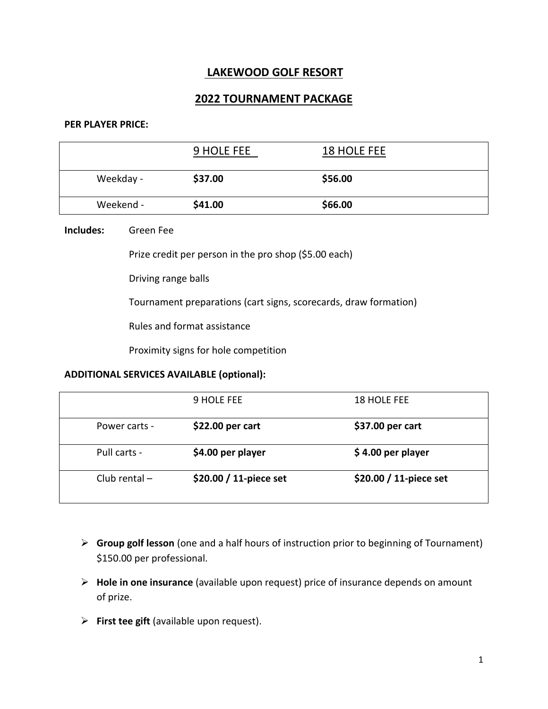# **LAKEWOOD GOLF RESORT**

# **2022 TOURNAMENT PACKAGE**

#### **PER PLAYER PRICE:**

|           | 9 HOLE FEE | <b>18 HOLE FEE</b> |  |
|-----------|------------|--------------------|--|
| Weekday - | \$37.00    | \$56.00            |  |
| Weekend - | \$41.00    | \$66.00            |  |

#### **Includes:** Green Fee

Prize credit per person in the pro shop (\$5.00 each)

Driving range balls

Tournament preparations (cart signs, scorecards, draw formation)

Rules and format assistance

Proximity signs for hole competition

#### **ADDITIONAL SERVICES AVAILABLE (optional):**

|                 | 9 HOLE FEE             | 18 HOLE FEE            |
|-----------------|------------------------|------------------------|
| Power carts -   | \$22.00 per cart       | \$37.00 per cart       |
| Pull carts -    | \$4.00 per player      | $$4.00$ per player     |
| Club rental $-$ | \$20.00 / 11-piece set | \$20.00 / 11-piece set |

- ➢ **Group golf lesson** (one and a half hours of instruction prior to beginning of Tournament) \$150.00 per professional.
- ➢ **Hole in one insurance** (available upon request) price of insurance depends on amount of prize.
- ➢ **First tee gift** (available upon request).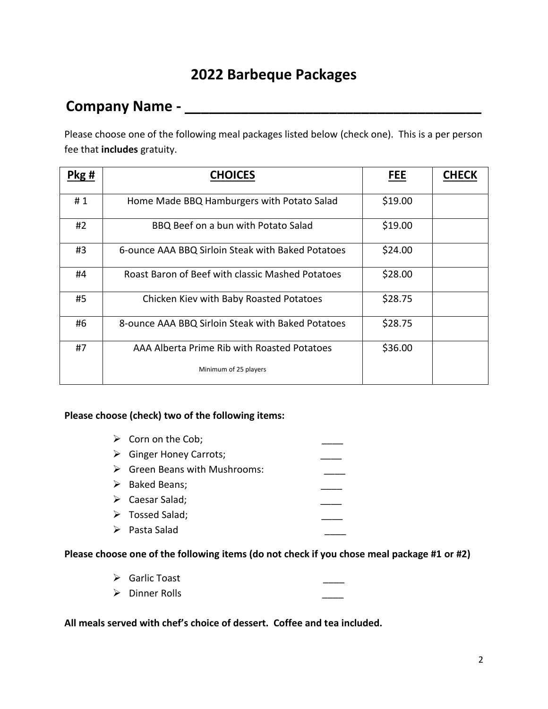# **2022 Barbeque Packages**

# **Company Name - \_\_\_\_\_\_\_\_\_\_\_\_\_\_\_\_\_\_\_\_\_\_\_\_\_\_\_\_\_\_\_\_\_\_\_\_\_**

Please choose one of the following meal packages listed below (check one). This is a per person fee that **includes** gratuity.

| Pkg# | <b>CHOICES</b>                                               | <b>FEE</b> | <b>CHECK</b> |
|------|--------------------------------------------------------------|------------|--------------|
| #1   | Home Made BBQ Hamburgers with Potato Salad                   | \$19.00    |              |
| #2   | BBQ Beef on a bun with Potato Salad                          | \$19.00    |              |
| #3   | 6-ounce AAA BBQ Sirloin Steak with Baked Potatoes            | \$24.00    |              |
| #4   | Roast Baron of Beef with classic Mashed Potatoes             | \$28.00    |              |
| #5   | \$28.75<br>Chicken Kiev with Baby Roasted Potatoes           |            |              |
| #6   | \$28.75<br>8-ounce AAA BBQ Sirloin Steak with Baked Potatoes |            |              |
| #7   | AAA Alberta Prime Rib with Roasted Potatoes                  | \$36.00    |              |
|      | Minimum of 25 players                                        |            |              |

# **Please choose (check) two of the following items:**

| $\triangleright$ Corn on the Cob;            |  |
|----------------------------------------------|--|
| $\triangleright$ Ginger Honey Carrots;       |  |
| $\triangleright$ Green Beans with Mushrooms: |  |
| $\triangleright$ Baked Beans;                |  |
| $\triangleright$ Caesar Salad;               |  |
| $\triangleright$ Tossed Salad;               |  |
| $\triangleright$ Pasta Salad                 |  |

#### **Please choose one of the following items (do not check if you chose meal package #1 or #2)**

- ➢ Garlic Toast \_\_\_\_
- ➢ Dinner Rolls \_\_\_\_

**All meals served with chef's choice of dessert. Coffee and tea included.**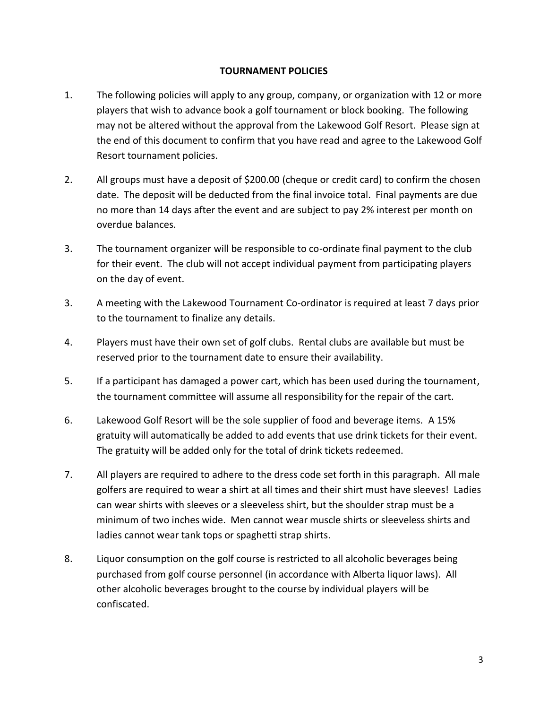## **TOURNAMENT POLICIES**

- 1. The following policies will apply to any group, company, or organization with 12 or more players that wish to advance book a golf tournament or block booking. The following may not be altered without the approval from the Lakewood Golf Resort. Please sign at the end of this document to confirm that you have read and agree to the Lakewood Golf Resort tournament policies.
- 2. All groups must have a deposit of \$200.00 (cheque or credit card) to confirm the chosen date. The deposit will be deducted from the final invoice total. Final payments are due no more than 14 days after the event and are subject to pay 2% interest per month on overdue balances.
- 3. The tournament organizer will be responsible to co-ordinate final payment to the club for their event. The club will not accept individual payment from participating players on the day of event.
- 3. A meeting with the Lakewood Tournament Co-ordinator is required at least 7 days prior to the tournament to finalize any details.
- 4. Players must have their own set of golf clubs. Rental clubs are available but must be reserved prior to the tournament date to ensure their availability.
- 5. If a participant has damaged a power cart, which has been used during the tournament, the tournament committee will assume all responsibility for the repair of the cart.
- 6. Lakewood Golf Resort will be the sole supplier of food and beverage items. A 15% gratuity will automatically be added to add events that use drink tickets for their event. The gratuity will be added only for the total of drink tickets redeemed.
- 7. All players are required to adhere to the dress code set forth in this paragraph. All male golfers are required to wear a shirt at all times and their shirt must have sleeves! Ladies can wear shirts with sleeves or a sleeveless shirt, but the shoulder strap must be a minimum of two inches wide. Men cannot wear muscle shirts or sleeveless shirts and ladies cannot wear tank tops or spaghetti strap shirts.
- 8. Liquor consumption on the golf course is restricted to all alcoholic beverages being purchased from golf course personnel (in accordance with Alberta liquor laws). All other alcoholic beverages brought to the course by individual players will be confiscated.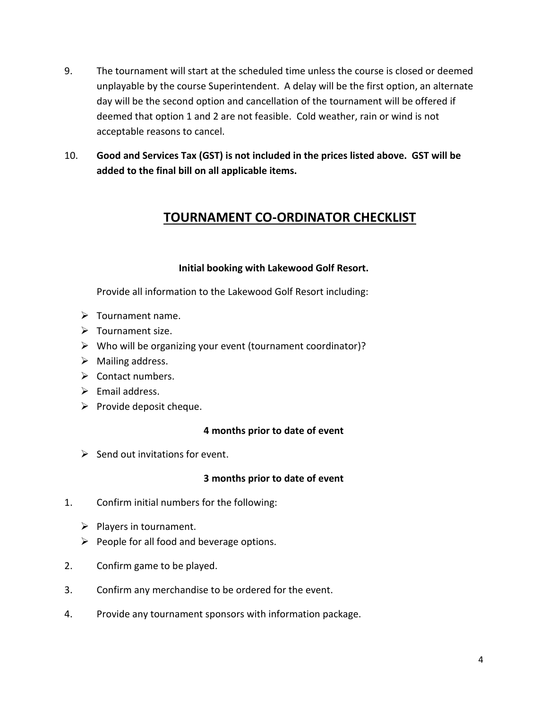- 9. The tournament will start at the scheduled time unless the course is closed or deemed unplayable by the course Superintendent. A delay will be the first option, an alternate day will be the second option and cancellation of the tournament will be offered if deemed that option 1 and 2 are not feasible. Cold weather, rain or wind is not acceptable reasons to cancel.
- 10. **Good and Services Tax (GST) is not included in the prices listed above. GST will be added to the final bill on all applicable items.**

# **TOURNAMENT CO-ORDINATOR CHECKLIST**

# **Initial booking with Lakewood Golf Resort.**

Provide all information to the Lakewood Golf Resort including:

- ➢ Tournament name.
- ➢ Tournament size.
- ➢ Who will be organizing your event (tournament coordinator)?
- $\triangleright$  Mailing address.
- ➢ Contact numbers.
- $\triangleright$  Email address.
- $\triangleright$  Provide deposit cheque.

# **4 months prior to date of event**

 $\triangleright$  Send out invitations for event.

# **3 months prior to date of event**

- 1. Confirm initial numbers for the following:
	- $\triangleright$  Players in tournament.
	- $\triangleright$  People for all food and beverage options.
- 2. Confirm game to be played.
- 3. Confirm any merchandise to be ordered for the event.
- 4. Provide any tournament sponsors with information package.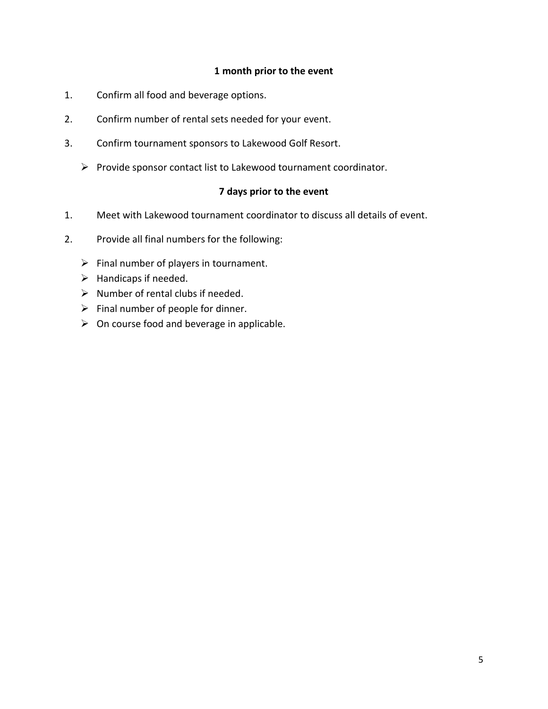#### **1 month prior to the event**

- 1. Confirm all food and beverage options.
- 2. Confirm number of rental sets needed for your event.
- 3. Confirm tournament sponsors to Lakewood Golf Resort.
	- ➢ Provide sponsor contact list to Lakewood tournament coordinator.

## **7 days prior to the event**

- 1. Meet with Lakewood tournament coordinator to discuss all details of event.
- 2. Provide all final numbers for the following:
	- $\triangleright$  Final number of players in tournament.
	- $\blacktriangleright$  Handicaps if needed.
	- $\triangleright$  Number of rental clubs if needed.
	- $\triangleright$  Final number of people for dinner.
	- $\triangleright$  On course food and beverage in applicable.